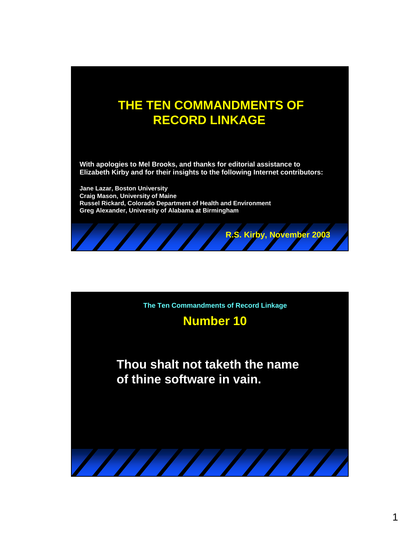## **THE TEN COMMANDMENTS OF RECORD LINKAGE**

**With apologies to Mel Brooks, and thanks for editorial assistance to Elizabeth Kirby and for their insights to the following Internet contributors:** 

**Jane Lazar, Boston University Craig Mason, University of Maine Russel Rickard, Colorado Department of Health and Environment Greg Alexander, University of Alabama at Birmingham**



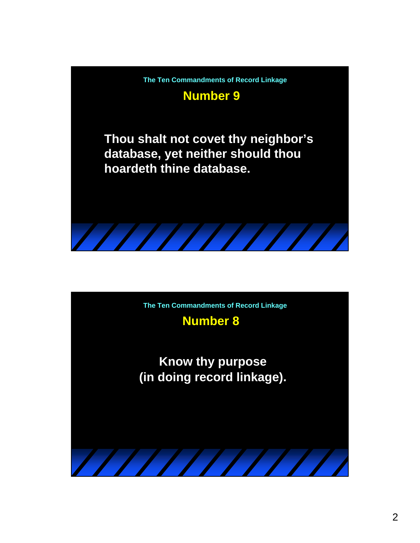

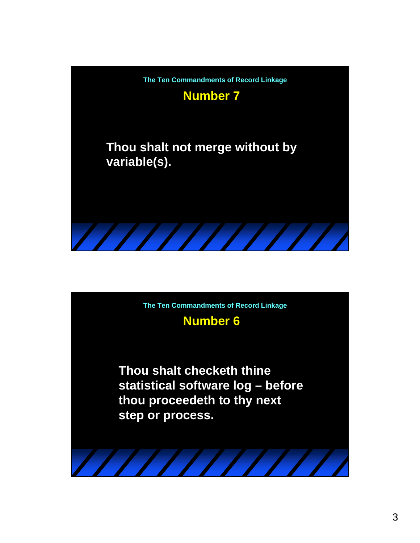

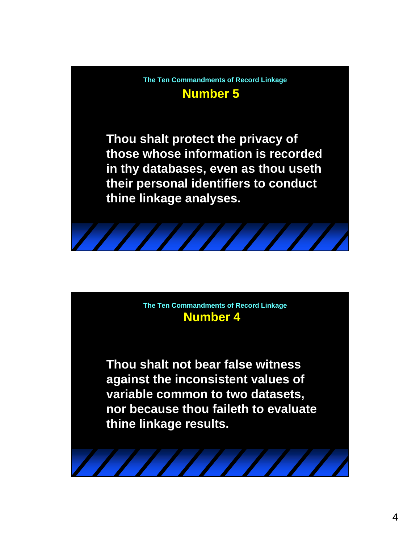**Number 5 The Ten Commandments of Record Linkage**

**Thou shalt protect the privacy of those whose information is recorded in thy databases, even as thou useth their personal identifiers to conduct thine linkage analyses.**

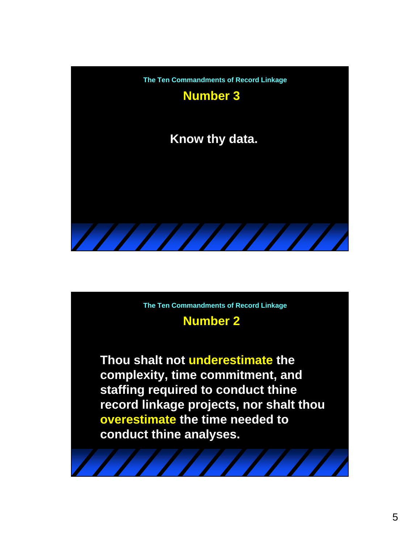